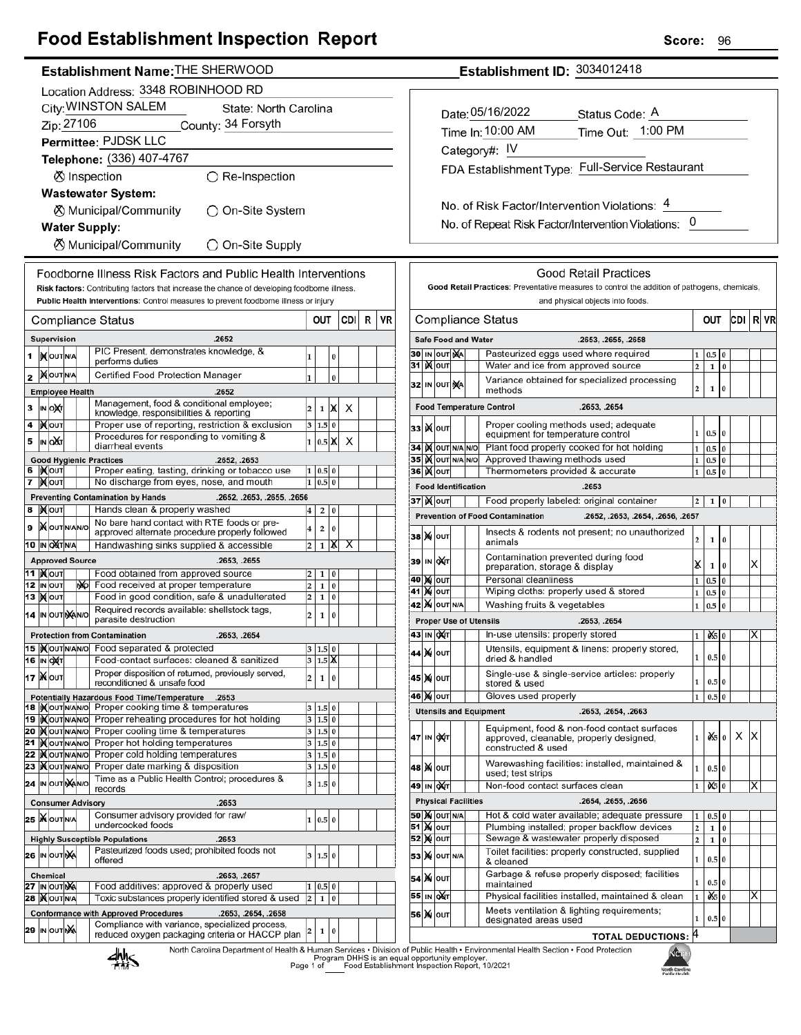# **Food Establishment Inspection Report**

## Establishment Name: THE SHERWOOD

|    |                                              |                                          |  |     | Location Address: 3348 ROBINHOOD RD                                                                     |                              |                  |               |     |   |    |  |
|----|----------------------------------------------|------------------------------------------|--|-----|---------------------------------------------------------------------------------------------------------|------------------------------|------------------|---------------|-----|---|----|--|
|    | City: WINSTON SALEM<br>State: North Carolina |                                          |  |     |                                                                                                         |                              |                  |               |     |   |    |  |
|    | Zip: 27106<br>County: 34 Forsyth             |                                          |  |     |                                                                                                         |                              |                  |               |     |   |    |  |
|    |                                              |                                          |  |     | Permittee: PJDSK LLC                                                                                    |                              |                  |               |     |   |    |  |
|    |                                              |                                          |  |     | Telephone: (336) 407-4767                                                                               |                              |                  |               |     |   |    |  |
|    |                                              |                                          |  |     | ⊗ Inspection<br>○ Re-Inspection                                                                         |                              |                  |               |     |   |    |  |
|    |                                              |                                          |  |     | <b>Wastewater System:</b>                                                                               |                              |                  |               |     |   |    |  |
|    |                                              |                                          |  |     | ⊗ Municipal/Community<br>)On-Site System                                                                |                              |                  |               |     |   |    |  |
|    |                                              |                                          |  |     | <b>Water Supply:</b>                                                                                    |                              |                  |               |     |   |    |  |
|    |                                              |                                          |  |     | <b>8</b> Municipal/Community<br>◯ On-Site Supply                                                        |                              |                  |               |     |   |    |  |
|    |                                              |                                          |  |     | Foodborne Illness Risk Factors and Public Health Interventions                                          |                              |                  |               |     |   |    |  |
|    |                                              |                                          |  |     | Risk factors: Contributing factors that increase the chance of developing foodborne illness.            |                              |                  |               |     |   |    |  |
|    |                                              |                                          |  |     | Public Health Interventions: Control measures to prevent foodborne illness or injury                    |                              |                  |               |     |   |    |  |
|    |                                              |                                          |  |     | Compliance Status                                                                                       |                              | OUT              |               | CDI | R | VR |  |
|    |                                              | Supervision                              |  |     | .2652                                                                                                   |                              |                  |               |     |   |    |  |
| 1  |                                              | <b>IX</b> OUTINA                         |  |     | PIC Present, demonstrates knowledge, &<br>performs duties                                               | 1                            |                  | 0             |     |   |    |  |
| 2  |                                              | <b>XOUTNA</b>                            |  |     | Certified Food Protection Manager                                                                       | 1                            |                  | $\bf{0}$      |     |   |    |  |
|    |                                              | <b>Employee Health</b>                   |  |     | .2652                                                                                                   |                              |                  |               |     |   |    |  |
| 3  |                                              | ∣in ∣o)x⁄r                               |  |     | Management, food & conditional employee;                                                                | 2                            | 1                | x             | х   |   |    |  |
| 4  |                                              | <b>XOUT</b>                              |  |     | knowledge, responsibilities & reporting<br>Proper use of reporting, restriction & exclusion             | 3                            | 1.5              | 0             |     |   |    |  |
| 5  |                                              | IN OAT                                   |  |     | Procedures for responding to vomiting &                                                                 | 1                            | 0.5              | Ж             | х   |   |    |  |
|    |                                              |                                          |  |     | diarrheal events<br><b>Good Hygienic Practices</b><br>.2652, .2653                                      |                              |                  |               |     |   |    |  |
| 6  |                                              | <b>IXOUT</b>                             |  |     | Proper eating, tasting, drinking or tobacco use                                                         | 1                            | 0.5 0            |               |     |   |    |  |
| 7  |                                              | ∣ <b>)∢</b> ∣оυт                         |  |     | No discharge from eyes, nose, and mouth                                                                 | 1                            | 0.5              | $\bf{0}$      |     |   |    |  |
| 8  |                                              | <b>∣)∢∣</b> оυт                          |  |     | <b>Preventing Contamination by Hands</b><br>.2652, .2653, .2655, .2656<br>Hands clean & properly washed | 4                            | 2                | 0             |     |   |    |  |
| 9  |                                              | <b>X</b> OUTNANO                         |  |     | No bare hand contact with RTE foods or pre-                                                             |                              |                  |               |     |   |    |  |
|    |                                              |                                          |  |     | approved alternate procedure properly followed                                                          | 4                            | 2                | 0<br>Х        | x   |   |    |  |
|    |                                              | 10  IN OXT N/A<br><b>Approved Source</b> |  |     | Handwashing sinks supplied & accessible<br>.2653, .2655                                                 | 2                            | 1                |               |     |   |    |  |
|    |                                              | 11  ) <b>(</b> ouт                       |  |     | Food obtained from approved source                                                                      | 2                            | 1                | 0             |     |   |    |  |
|    |                                              | 12 IN OUT                                |  | NO. | Food received at proper temperature                                                                     | 2                            | $\mathbf 1$      | $\bf{0}$      |     |   |    |  |
|    |                                              | <b>13  ) о</b> лт                        |  |     | Food in good condition, safe & unadulterated<br>Required records available: shellstock tags,            | 2                            | 1                | $\bf{0}$      |     |   |    |  |
|    |                                              | 14 IN OUT NANO                           |  |     | parasite destruction                                                                                    | 2                            | 1                | 0             |     |   |    |  |
|    |                                              |                                          |  |     | <b>Protection from Contamination</b><br>.2653, .2654                                                    |                              |                  |               |     |   |    |  |
|    |                                              | 15   OUTNANO<br>16  IN OXT               |  |     | Food separated & protected<br>Food-contact surfaces: cleaned & sanitized                                |                              | 1.5 0<br>3 1.5 X |               |     |   |    |  |
|    |                                              | <b>17 Ж</b> оит                          |  |     | Proper disposition of returned, previously served,                                                      | 2                            | 1                | 0             |     |   |    |  |
|    |                                              |                                          |  |     | reconditioned & unsafe food                                                                             |                              |                  |               |     |   |    |  |
|    |                                              | 18 IN OUT N/AN/O                         |  |     | Potentially Hazardous Food Time/Temperature<br>.2653<br>Proper cooking time & temperatures              | 3                            | 1.5              | 0             |     |   |    |  |
|    |                                              | 19   <b>X</b> OUT N/AN/O                 |  |     | Proper reheating procedures for hot holding                                                             | 3                            | 1.5 0            |               |     |   |    |  |
| 21 |                                              | 20 MOUTNANO<br><b>KOUTNANO</b>           |  |     | Proper cooling time & temperatures<br>Proper hot holding temperatures                                   | 3<br>3                       | 1.5 0<br>1.5 0   |               |     |   |    |  |
| 22 |                                              | <b>IX</b> OUTINANO                       |  |     | Proper cold holding temperatures                                                                        | 3                            | 1.5              | $\bf{0}$      |     |   |    |  |
|    |                                              | 23   OUTNANO                             |  |     | Proper date marking & disposition<br>Time as a Public Health Control; procedures &                      | 3                            | 1.5              | $\bf{0}$      |     |   |    |  |
|    |                                              | 24 IN OUT NANO                           |  |     | records                                                                                                 | 3                            | 1.5              | 0             |     |   |    |  |
|    |                                              |                                          |  |     | <b>Consumer Advisory</b><br>.2653<br>Consumer advisory provided for raw/                                |                              |                  |               |     |   |    |  |
|    |                                              | 25 WOUTNA                                |  |     | undercooked foods                                                                                       | 1                            | 0.5 0            |               |     |   |    |  |
|    |                                              |                                          |  |     | .2653<br><b>Highly Susceptible Populations</b><br>Pasteurized foods used; prohibited foods not          |                              |                  |               |     |   |    |  |
|    |                                              | 26 IN OUTINA                             |  |     | offered                                                                                                 | 3                            | 1.5 0            |               |     |   |    |  |
|    |                                              | <b>Chemical</b>                          |  |     | .2653, .2657                                                                                            |                              |                  |               |     |   |    |  |
|    |                                              | 27 IN OUT NA<br><b>28   OUT N/A</b>      |  |     | Food additives: approved & properly used<br>Toxic substances properly identified stored & used          | 1<br>$\overline{\mathbf{c}}$ | 0.5<br>1         | 0<br>$\bf{0}$ |     |   |    |  |
|    |                                              |                                          |  |     | <b>Conformance with Approved Procedures</b><br>.2653, .2654, .2658                                      |                              |                  |               |     |   |    |  |
|    |                                              | <b>29 IN OUT NA</b>                      |  |     | Compliance with variance, specialized process,<br>reduced oxygen packaging criteria or HACCP plan       | 2                            | 1                | 0             |     |   |    |  |
|    |                                              |                                          |  |     | North Carolina Denartment of Health & Human Services . Divisi<br><b><i><u>I</u></i></b>                 |                              |                  |               |     |   |    |  |

designated areas used

Garbage & refuse properly disposed; facilities<br>maintained

Physical facilities installed, maintained & clean

Meets ventilation & lighting requirements;

& cleaned

|    |      |                            |                                                                       |  | <b>Good Retail Practices</b>                                                                                 |                         |              |          |     |           |  |
|----|------|----------------------------|-----------------------------------------------------------------------|--|--------------------------------------------------------------------------------------------------------------|-------------------------|--------------|----------|-----|-----------|--|
|    |      |                            |                                                                       |  | Good Retail Practices: Preventative measures to control the addition of pathogens, chemicals,                |                         |              |          |     |           |  |
|    |      |                            |                                                                       |  | and physical objects into foods.                                                                             |                         |              |          |     |           |  |
|    |      |                            |                                                                       |  | Compliance Status                                                                                            |                         | <b>OUT</b>   |          | CDI | <b>RV</b> |  |
|    |      | <b>Safe Food and Water</b> |                                                                       |  | .2653, .2655, .2658                                                                                          |                         |              |          |     |           |  |
|    |      | <b>30 IN OUT NA</b>        |                                                                       |  | Pasteurized eggs used where required                                                                         | 1                       | 0.5          | 0        |     |           |  |
| 31 |      | <b>K</b> lout              |                                                                       |  | Water and ice from approved source                                                                           | $\overline{2}$          | $\mathbf{1}$ | $\bf{0}$ |     |           |  |
|    |      | 32 IN OUT MA               |                                                                       |  | Variance obtained for specialized processing<br>methods                                                      | 2                       | 1            | 0        |     |           |  |
|    |      |                            |                                                                       |  | <b>Food Temperature Control</b><br>.2653, .2654                                                              |                         |              |          |     |           |  |
|    |      | 33   ) <b>(</b>   оит      |                                                                       |  | Proper cooling methods used; adequate<br>equipment for temperature control                                   | 1                       | 0.5          | $\bf{0}$ |     |           |  |
|    |      | <b>34 IX OUT N/A N/O</b>   |                                                                       |  | Plant food properly cooked for hot holding                                                                   | $\mathbf{1}$            | 0.5          | $\bf{0}$ |     |           |  |
|    |      | 35 IX OUT N/A N/O          |                                                                       |  | Approved thawing methods used                                                                                | 1                       | 0.5          | $\bf{0}$ |     |           |  |
|    |      | <b>36 )(</b>  оит          |                                                                       |  | Thermometers provided & accurate                                                                             | 1                       | 0.5          | $\bf{0}$ |     |           |  |
|    |      | <b>Food Identification</b> |                                                                       |  | .2653                                                                                                        |                         |              |          |     |           |  |
|    |      | <b>37 ) (</b>   оит        |                                                                       |  | Food properly labeled: original container                                                                    | $\overline{\mathbf{c}}$ | 1            | $\bf{0}$ |     |           |  |
|    |      |                            |                                                                       |  | <b>Prevention of Food Contamination</b><br>.2652, .2653, .2654, .2656, .2657                                 |                         |              |          |     |           |  |
|    |      | <b>38 Ж</b>  оит           |                                                                       |  | Insects & rodents not present; no unauthorized<br>animals                                                    | 2                       | 1            | 0        |     |           |  |
|    |      | 39 IN OAT                  | Contamination prevented during food<br>preparation, storage & display |  |                                                                                                              |                         |              |          |     | Χ         |  |
|    | 40 M | OUT                        |                                                                       |  | Personal cleanliness                                                                                         | 1                       | 0.5          | 0        |     |           |  |
|    |      | 41 M OUT                   |                                                                       |  | Wiping cloths: properly used & stored                                                                        | 1                       | 0.5          | 0        |     |           |  |
|    |      | 42   XI OUT N/A            |                                                                       |  | Washing fruits & vegetables                                                                                  | 1                       | 0.5          | $\bf{0}$ |     |           |  |
|    |      |                            |                                                                       |  | <b>Proper Use of Utensils</b><br>.2653, .2654                                                                |                         |              |          |     |           |  |
|    |      | 43 IN OXT                  |                                                                       |  | In-use utensils: properly stored                                                                             | 1                       | 0 \$10       |          |     | X         |  |
|    |      | 44   ) ф   оυт             |                                                                       |  | Utensils, equipment & linens: properly stored,<br>dried & handled                                            | 1                       | 0.5 0        |          |     |           |  |
|    | 45 M | OUT                        |                                                                       |  | Single-use & single-service articles: properly<br>stored & used                                              | 1                       | 0.5 0        |          |     |           |  |
|    |      | 46 )X  ouт                 |                                                                       |  | Gloves used properly                                                                                         | 1                       | 0.5          | $\bf{0}$ |     |           |  |
|    |      |                            |                                                                       |  | .2653, .2654, .2663<br><b>Utensils and Equipment</b>                                                         |                         |              |          |     |           |  |
| 47 |      | IN OXT                     |                                                                       |  | Equipment, food & non-food contact surfaces<br>approved, cleanable, properly designed,<br>constructed & used | 1                       | oXslo        |          | x   | х         |  |
|    |      | 48   Μ Ιουτ                |                                                                       |  | Warewashing facilities: installed, maintained &<br>used; test strips                                         | 1                       | 0.5 0        |          |     |           |  |
| 49 | IN   | <b>DAT</b>                 |                                                                       |  | Non-food contact surfaces clean                                                                              | 1                       | 06           | 0        |     | Χ         |  |
|    |      | <b>Physical Facilities</b> |                                                                       |  | .2654, .2655, .2656                                                                                          |                         |              |          |     |           |  |
|    |      | <b>50   X</b>   OUT   N/A  |                                                                       |  | Hot & cold water available; adequate pressure                                                                | 1                       | 0.5          | $\bf{0}$ |     |           |  |
|    |      |                            |                                                                       |  | Plumbing installed; proper backflow devices                                                                  | $\overline{2}$          | 1            | 0        |     |           |  |
|    |      | 52 X олт                   |                                                                       |  | Sewage & wastewater properly disposed                                                                        | $\overline{2}$          | $\mathbf{1}$ | 0        |     |           |  |
|    |      | ER MOUTHIA                 |                                                                       |  | Toilet facilities: properly constructed, supplied                                                            |                         |              |          |     |           |  |

### Establishment ID: 3034012418

| Date: 05/16/2022<br>Time In: 10:00 AM           | Status Code: A<br>Time Out: 1:00 PM |
|-------------------------------------------------|-------------------------------------|
| Category#: IV                                   |                                     |
| FDA Establishment Type: Full-Service Restaurant |                                     |
|                                                 |                                     |

No. of Risk Factor/Intervention Violations: 4 No. of Repeat Risk Factor/Intervention Violations: 0

alth & Human Services • Division of Public Health • Environmental Health Section • Food Protection<br>Program DHHS is an equal opportunity employer.<br>Page 1 of Food Establishment Inspection Report, 10/2021

53 X OUT N/A

54 M out

55 IN OXT

56 X OUT



**TOTAL DEDUCTIONS:** 

 $1 \mid 0.5 \mid 0$ 

 $0.5|0$ 

ΙX

 $\mathbf{1}$  $0.5$  $\pmb{0}$  $\frac{1}{1}$   $\frac{1}{1}$   $\frac{1}{1}$   $\frac{1}{1}$   $\frac{1}{1}$ 

1

4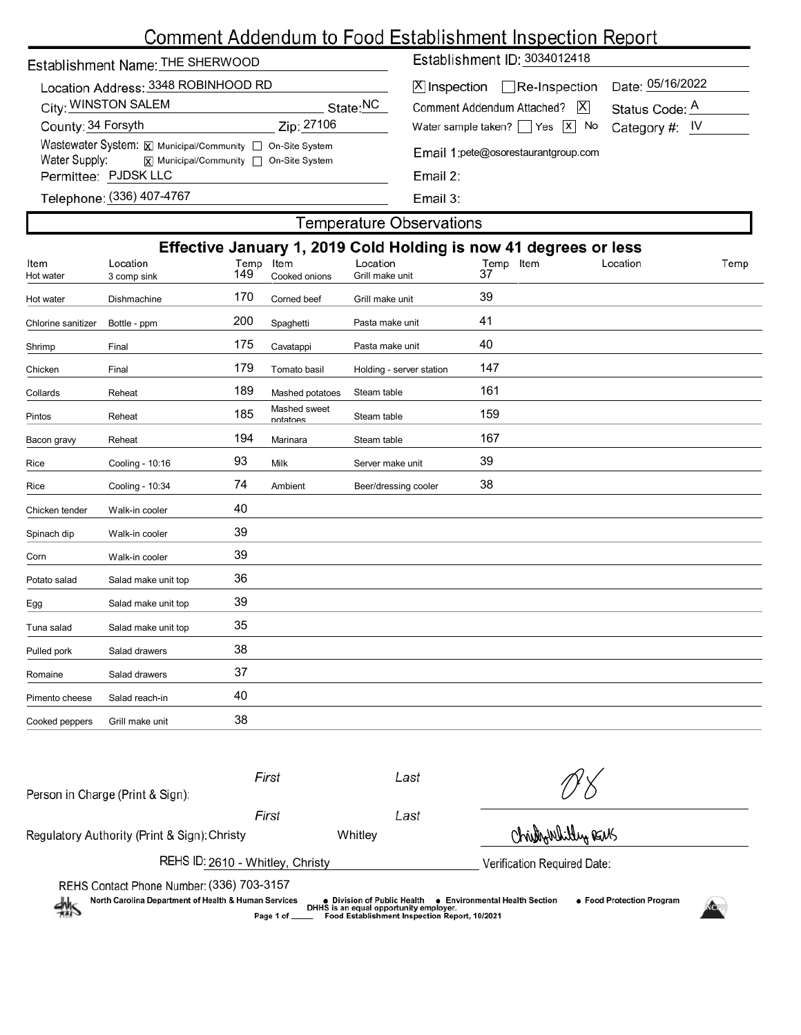# Comment Addendum to Food Establishment Inspection Report

| Establishment Name: THE SHERWOOD    |  |  |  |  |  |  |  |
|-------------------------------------|--|--|--|--|--|--|--|
| Location Address: 3348 ROBINHOOD RD |  |  |  |  |  |  |  |

| LOCATION AGGIESS: 3340 ROBIN IOOD RD<br>City: WINSTON SALEM |                                                                                                  |            | State: NC |
|-------------------------------------------------------------|--------------------------------------------------------------------------------------------------|------------|-----------|
| County: 34 Forsyth                                          |                                                                                                  | Zip: 27106 |           |
|                                                             | Wastewater System: $\boxed{\mathbf{x}}$ Municipal/Community $\boxed{\phantom{a}}$ On-Site System |            |           |
| Water Supply:                                               | [x] Municipal/Community □ On-Site System                                                         |            |           |
| Permittee: PJDSK LLC                                        |                                                                                                  |            |           |
|                                                             |                                                                                                  |            |           |

Establishment ID: 3034012418

| X Inspection Re-Inspection Date: 05/16/2022             |  |  |  |
|---------------------------------------------------------|--|--|--|
| Comment Addendum Attached?   X   Status Code: A         |  |  |  |
| Water sample taken? $\Box$ Yes $\Box$ No Category #: IV |  |  |  |

Email 1:pete@osorestaurantgroup.com

| -17 |  |  |
|-----|--|--|

(336) 407-4767

Email 3:

# **Temperature Observations** Effective January 1, 2019 Cold Holding is now 41 degrees or less 3 comp sink 149 Cooked onions Grill make unit 37 Location Location Location Item Temp Hot water Hot water Dishmachine 170 Corned beef Grill make unit 39 Chlorine sanitizer Bottle - ppm 200 Spaghetti Pasta make unit 41 Shrimp Final 175 Cavatappi Pasta make unit 40 Chicken Final 179 Tomato basil Holding - server station 147 Collards Reheat 189 Mashed potatoes Steam table 161 Pintos Reheat 185 Mashed sweet Steam table 159 Bacon gravy Reheat 194 Marinara Steam table 167 Rice Cooling - 10:16 93 Milk Server make unit 39 Rice Cooling - 10:34 74 Ambient Beer/dressing cooler 38 Chicken tender Walk-in cooler 40 Spinach dip Walk-in cooler 39 Corn Walk-in cooler 39 Potato salad Salad make unit top 36 Egg Salad make unit top 39 Tuna salad Salad make unit top 35 Pulled pork Salad drawers 38

| Romaine        | Salad drawers   | 37 |
|----------------|-----------------|----|
| Pimento cheese | Salad reach-in  | 40 |
| Cooked peppers | Grill make unit | 38 |
|                |                 |    |
|                |                 |    |

| 熱                                                                                                 | Page 1 of _ | DHHS is an equal opportunity employer.<br>Food Establishment Inspection Report, 10/2021 |                             |  |
|---------------------------------------------------------------------------------------------------|-------------|-----------------------------------------------------------------------------------------|-----------------------------|--|
| REHS Contact Phone Number: (336) 703-3157<br>North Carolina Department of Health & Human Services |             | ● Division of Public Health ● Environmental Health Section                              | • Food Protection Program   |  |
| REHS ID: 2610 - Whitley, Christy                                                                  |             |                                                                                         | Verification Required Date: |  |
| Regulatory Authority (Print & Sign): Christy                                                      |             | Whitley                                                                                 | Christian Whitey REMS       |  |
|                                                                                                   | First       | Last                                                                                    |                             |  |
| Person in Charge (Print & Sign):                                                                  | First       | Last                                                                                    |                             |  |
|                                                                                                   |             |                                                                                         |                             |  |